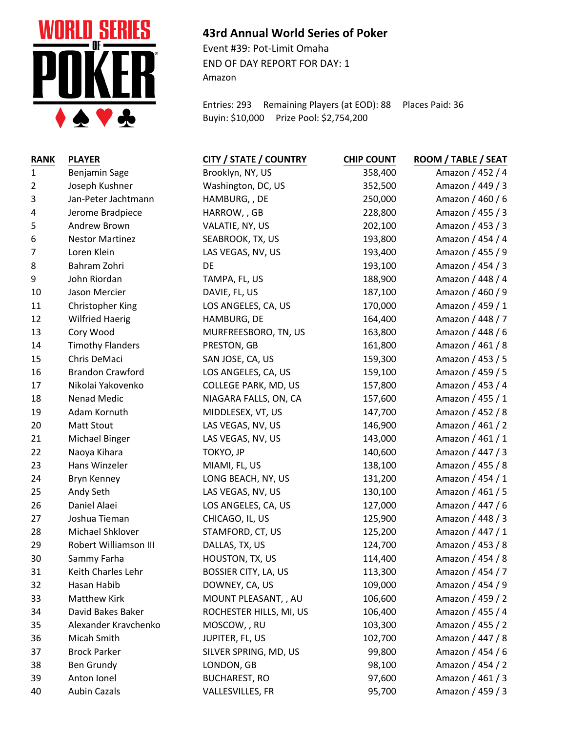

## **43rd Annual World Series of Poker**

Event #39: Pot-Limit Omaha END OF DAY REPORT FOR DAY: 1 Amazon

Entries: 293 Remaining Players (at EOD): 88 Places Paid: 36 Buyin: \$10,000 Prize Pool: \$2,754,200

| <b>RANK</b>    | <b>PLAYER</b>           | <b>CITY / STATE / COUNTRY</b> | <b>CHIP COUNT</b> | ROOM / TABLE / SEAT |
|----------------|-------------------------|-------------------------------|-------------------|---------------------|
| $\mathbf{1}$   | Benjamin Sage           | Brooklyn, NY, US              | 358,400           | Amazon / 452 / 4    |
| $\overline{2}$ | Joseph Kushner          | Washington, DC, US            | 352,500           | Amazon / 449 / 3    |
| 3              | Jan-Peter Jachtmann     | HAMBURG, , DE                 | 250,000           | Amazon / 460 / 6    |
| 4              | Jerome Bradpiece        | HARROW, , GB                  | 228,800           | Amazon / 455 / 3    |
| 5              | Andrew Brown            | VALATIE, NY, US               | 202,100           | Amazon / 453 / 3    |
| 6              | <b>Nestor Martinez</b>  | SEABROOK, TX, US              | 193,800           | Amazon / 454 / 4    |
| 7              | Loren Klein             | LAS VEGAS, NV, US             | 193,400           | Amazon / 455 / 9    |
| 8              | Bahram Zohri            | DE                            | 193,100           | Amazon / 454 / 3    |
| 9              | John Riordan            | TAMPA, FL, US                 | 188,900           | Amazon / 448 / 4    |
| 10             | Jason Mercier           | DAVIE, FL, US                 | 187,100           | Amazon / 460 / 9    |
| 11             | <b>Christopher King</b> | LOS ANGELES, CA, US           | 170,000           | Amazon / 459 / 1    |
| 12             | <b>Wilfried Haerig</b>  | HAMBURG, DE                   | 164,400           | Amazon / 448 / 7    |
| 13             | Cory Wood               | MURFREESBORO, TN, US          | 163,800           | Amazon / 448 / 6    |
| 14             | <b>Timothy Flanders</b> | PRESTON, GB                   | 161,800           | Amazon / 461 / 8    |
| $15\,$         | Chris DeMaci            | SAN JOSE, CA, US              | 159,300           | Amazon / 453 / 5    |
| 16             | <b>Brandon Crawford</b> | LOS ANGELES, CA, US           | 159,100           | Amazon / 459 / 5    |
| 17             | Nikolai Yakovenko       | COLLEGE PARK, MD, US          | 157,800           | Amazon / 453 / 4    |
| 18             | Nenad Medic             | NIAGARA FALLS, ON, CA         | 157,600           | Amazon / 455 / 1    |
| 19             | Adam Kornuth            | MIDDLESEX, VT, US             | 147,700           | Amazon / 452 / 8    |
| 20             | <b>Matt Stout</b>       | LAS VEGAS, NV, US             | 146,900           | Amazon / 461 / 2    |
| 21             | Michael Binger          | LAS VEGAS, NV, US             | 143,000           | Amazon / 461 / 1    |
| 22             | Naoya Kihara            | TOKYO, JP                     | 140,600           | Amazon / 447 / 3    |
| 23             | Hans Winzeler           | MIAMI, FL, US                 | 138,100           | Amazon / 455 / 8    |
| 24             | Bryn Kenney             | LONG BEACH, NY, US            | 131,200           | Amazon / 454 / 1    |
| 25             | Andy Seth               | LAS VEGAS, NV, US             | 130,100           | Amazon / 461 / 5    |
| 26             | Daniel Alaei            | LOS ANGELES, CA, US           | 127,000           | Amazon / 447 / 6    |
| 27             | Joshua Tieman           | CHICAGO, IL, US               | 125,900           | Amazon / 448 / 3    |
| 28             | Michael Shklover        | STAMFORD, CT, US              | 125,200           | Amazon / 447 / 1    |
| 29             | Robert Williamson III   | DALLAS, TX, US                | 124,700           | Amazon / 453 / 8    |
| 30             | Sammy Farha             | HOUSTON, TX, US               | 114,400           | Amazon / 454 / 8    |
| 31             | Keith Charles Lehr      | BOSSIER CITY, LA, US          | 113,300           | Amazon / 454 / 7    |
| 32             | Hasan Habib             | DOWNEY, CA, US                | 109,000           | Amazon / 454 / 9    |
| 33             | <b>Matthew Kirk</b>     | MOUNT PLEASANT, , AU          | 106,600           | Amazon / 459 / 2    |
| 34             | David Bakes Baker       | ROCHESTER HILLS, MI, US       | 106,400           | Amazon / 455 / 4    |
| 35             | Alexander Kravchenko    | MOSCOW, , RU                  | 103,300           | Amazon / 455 / 2    |
| 36             | Micah Smith             | JUPITER, FL, US               | 102,700           | Amazon / 447 / 8    |
| 37             | <b>Brock Parker</b>     | SILVER SPRING, MD, US         | 99,800            | Amazon / 454 / 6    |
| 38             | Ben Grundy              | LONDON, GB                    | 98,100            | Amazon / 454 / 2    |
| 39             | Anton Ionel             | <b>BUCHAREST, RO</b>          | 97,600            | Amazon / 461 / 3    |
| 40             | <b>Aubin Cazals</b>     | VALLESVILLES, FR              | 95,700            | Amazon / 459 / 3    |